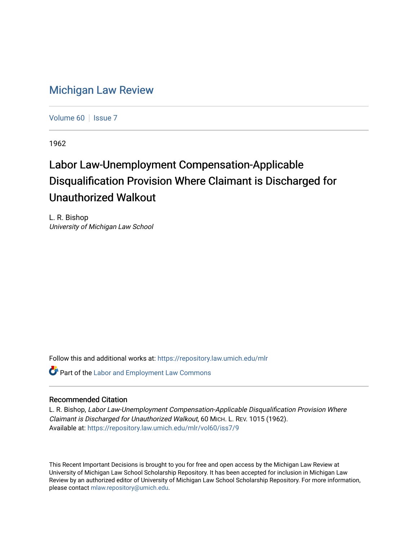## [Michigan Law Review](https://repository.law.umich.edu/mlr)

[Volume 60](https://repository.law.umich.edu/mlr/vol60) | [Issue 7](https://repository.law.umich.edu/mlr/vol60/iss7)

1962

## Labor Law-Unemployment Compensation-Applicable Disqualification Provision Where Claimant is Discharged for Unauthorized Walkout

L. R. Bishop University of Michigan Law School

Follow this and additional works at: [https://repository.law.umich.edu/mlr](https://repository.law.umich.edu/mlr?utm_source=repository.law.umich.edu%2Fmlr%2Fvol60%2Fiss7%2F9&utm_medium=PDF&utm_campaign=PDFCoverPages) 

**Part of the [Labor and Employment Law Commons](http://network.bepress.com/hgg/discipline/909?utm_source=repository.law.umich.edu%2Fmlr%2Fvol60%2Fiss7%2F9&utm_medium=PDF&utm_campaign=PDFCoverPages)** 

## Recommended Citation

L. R. Bishop, Labor Law-Unemployment Compensation-Applicable Disqualification Provision Where Claimant is Discharged for Unauthorized Walkout, 60 MICH. L. REV. 1015 (1962). Available at: [https://repository.law.umich.edu/mlr/vol60/iss7/9](https://repository.law.umich.edu/mlr/vol60/iss7/9?utm_source=repository.law.umich.edu%2Fmlr%2Fvol60%2Fiss7%2F9&utm_medium=PDF&utm_campaign=PDFCoverPages)

This Recent Important Decisions is brought to you for free and open access by the Michigan Law Review at University of Michigan Law School Scholarship Repository. It has been accepted for inclusion in Michigan Law Review by an authorized editor of University of Michigan Law School Scholarship Repository. For more information, please contact [mlaw.repository@umich.edu.](mailto:mlaw.repository@umich.edu)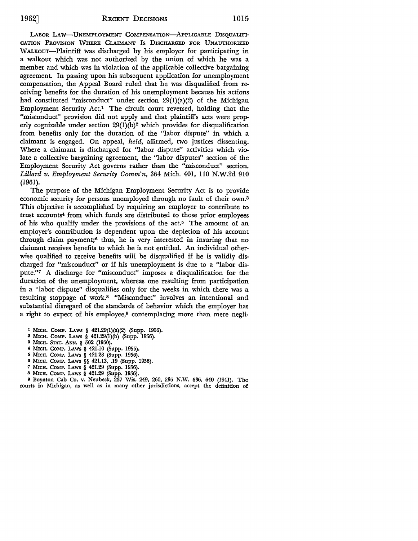LABOR LAW-UNEMPLOYMENT COMPENSATION-APPLICABLE DISQUALIFI-CATION PROVISION WHERE CLAIMANT Is DISCHARGED FOR UNAUTHORIZED WALKOUT-Plaintiff was discharged by his employer for participating in a walkout which was not authorized by the union of which he was a member and which was in violation of the applicable collective bargaining agreement. In passing upon his subsequent application for unemployment compensation, the Appeal Board ruled that he was disqualified from receiving benefits for the duration of his unemployment because his actions had constituted "misconduct" under section 29(1)(a)(2) of the Michigan Employment Security Act.1 The circuit court reversed, holding that the "misconduct" provision did not apply and that plaintiff's acts were properly cognizable under section  $29(1)(b)^2$  which provides for disqualification from benefits only for the duration of the "labor dispute" in which a claimant is engaged. On appeal, *held,* affirmed, two justices dissenting. Where a claimant is discharged for "labor dispute" activities which violate a collective bargaining agreement, the "labor disputes" section of the Employment Security Act governs rather than the "misconduct" section. *Lillard v. Employment Security Comm'n,* 364 Mich. 401, 110 N.W.2d 910 (1961).

The purpose of the Michigan Employment Security Act is to provide economic security for persons unemployed through no fault of their own.<sup>3</sup> This objective is accomplished by requiring an employer to contribute to trust accounts4 from which funds are distributed to those prior employees of his who qualify under the provisions of the  $act<sup>5</sup>$ . The amount of an employer's contribution is dependent upon the depletion of his account through claim payment;6 thus, he is very interested in insuring that no claimant receives benefits to which he is not entitled. An individual otherwise qualified to receive benefits will be disqualified if he is validly discharged for "misconduct" or if his unemployment is due to a "labor dispute."7 A discharge for "misconduct" imposes a disqualification for the duration of the unemployment, whereas one resulting from participation in a "labor dispute" disqualifies only for the weeks in which there was a resulting stoppage of work.8 "Misconduct" involves an intentional and substantial disregard of the standards of behavior which the employer has a right to expect of his employee,<sup>9</sup> contemplating more than mere negli-

- 1 MICH. COMP. LAws § 421.29(l)(a)(2) (Supp. 1956).
- 2 MICH. COMP. LAws § 421.29(l)(b) (Supp. 1956).
- 3 MICH. STAT. ANN. § 502 (1960).
- 4 MICH. COMP. LAws § 421.10 (Supp. 1956).
- 5 MICH. COMP. LAws § 421.28 (Supp. 1956).
- 6 MICH. COMP. LAWS §§ 421.13, .19 (Supp. 1956).
- 7 MICH. CoMP. LAws § 421.29 (Supp. 1956).
- s MICH. COMP. LAws § 421.29 (Supp. 1956).

<sup>9</sup>Boynton Cab Co. v. Neubeck, 237 Wis. 249, 260, 296 N.W. 636, 640 (1941). The courts in Michigan, as well as in many other jurisdictions, accept the definition of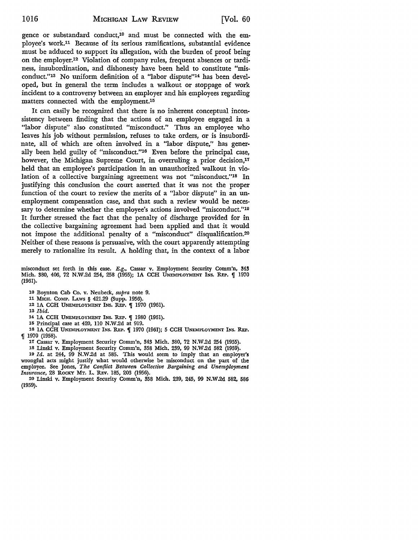gence or substandard conduct,10 and must be connected with the employee's work.11 Because of its serious ramifications, substantial evidence must be adduced to support its allegation, with the burden of proof being on the employer.12 Violation of company rules, frequent absences or tardiness, insubordination, and dishonesty have been held to constitute "misconduct."13 No uniform definition of a "labor dispute"14 has been developed, but in general the term includes a walkout or stoppage of work incident to a controversy between an employer and his employees regarding matters connected with the employment.<sup>15</sup>

It can easily be recognized that there is no inherent conceptual inconsistency between finding that the actions of an employee engaged in a "labor dispute" also constituted "misconduct." Thus an employee who leaves his job without permission, refuses to take orders, or is insubordinate, all of which are often involved in a "labor dispute," has generally been held guilty of "misconduct."16 Even before the principal case, however, the Michigan Supreme Court, in overruling a prior decision,<sup>17</sup> held that an employee's participation in an unauthorized walkout in violation of a collective bargaining agreement was not "misconduct."18 In justifying this conclusion the court asserted that it was not the proper function of the court to review the merits of a "labor dispute" in an unemployment compensation case, and that such a review would be necessary to determine whether the employee's actions involved "misconduct."<sup>19</sup> It further stressed the fact that the penalty of discharge provided for in the collective bargaining agreement had been applied and that it would not impose the additional penalty of a "misconduct" disqualification.2° Neither of these reasons is persuasive, with the court apparently attempting merely to rationalize its result. A holding that, in the context of a labor

misconduct set forth in this case. E.g., Cassar v. Employment Security Comm'n, 343 Mich. 380, 406, 72 N.W.2d 254, 258 (1955); IA CCH UNEMPLOYMENT INS. REP. 1970 (1961).

10 Boynton Cab Co. v. Neubeck, *supra* note 9.

11 MICH. CoMP. LAws § 421.29 (Supp. 1956).

12 1A CCH UNEMPLOYMENT INS. REP.  $\P$  1970 (1961).

13 *Ibid.* 

14 IA CCH UNEMPLOYMENT INS. REP. [ 1980 (1961).

15 Principal case at 420, 110 N.W.2d at 919.

16 1A CCH UNEMPLOYMENT INS. REP. **[401]** 1970 (1961); 5 CCH UNEMPLOYMENT INS. REP. ,I 1970 (1958).

17 Cassar v. Employment Security Comm'n, 343 Mich. 380, 72 N.W.2d 254 (1955).

18 Linski v. Employment Security Comm'n, 358 Mich. 239, 99 N.W.2d 582 (1959).

19 *Id.* at 244, 99 N.'W.2d at 585. This would seem to imply that an employer's wrongful acts might justify what would otherwise be misconduct on the part of the employee. See Jones, *The Conflict Between Collective Bargaining and Unemployment Insurance,* 28 RoCKY MT. L. REv. 185, 203 (1956).

20 Linski v. Employment Security Comm'n, 358 Mich. 239, 245, 99 N.W .2d 582, 586 (1959).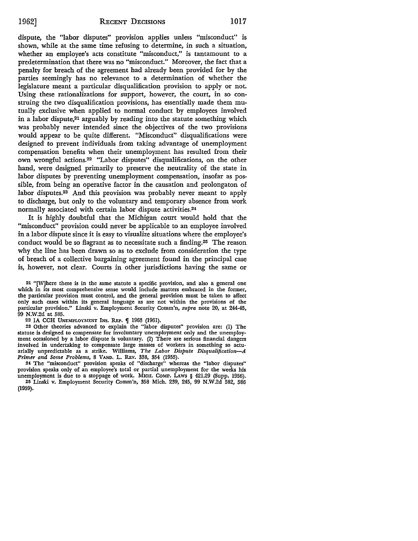dispute, the "labor disputes" provision applies unless "misconduct" is shown, while at the same time refusing to determine, in such a situation, whether an employee's acts constitute "misconduct," is tantamount to a predetermination that there was no "misconduct." Moreover, the fact that a penalty for breach of the agreement had already been provided for by the parties seemingly has no relevance to a determination of whether the legislature meant a particular disqualification provision to apply or not. Using these rationalizations for support, however, the court, in so construing the two disqualification provisions, has essentially made them mutually exclusive when applied to normal conduct by employees involved in a labor dispute,<sup>21</sup> arguably by reading into the statute something which was probably never intended since the objectives of the two provisions would appear to be quite different. "Misconduct" disqualifications were designed to prevent individuals from taking advantage of unemployment compensation benefits when their unemployment has resulted from their own wrongful actions.22 "Labor disputes" disqualifications, on the other hand, were designed primarily to preserve the neutrality of the state in labor disputes by preventing unemployment compensation, insofar as possible, from being an operative factor in the causation and prolongaton of labor disputes.23 And this provision was probably never meant to apply to discharge, but only to the voluntary and temporary absence from work normally associated with certain labor dispute activities.24

It is highly doubtful that the Michigan court would hold that the "misconduct" provision could never be applicable to an employee involved in a labor dispute since it is easy to visualize situations where the employee's conduct would be so flagrant as to necessitate such a finding.25 The reason why the line has been drawn so as to exclude from consideration the type of breach of a collective bargaining agreement found in the principal case is, however, not clear. Courts in other jurisdictions having the same or

21 "[W]here there is in the same statute a specific provision, and also a general one which in its most comprehensive sense would include matters embraced in the former, the particular provision must control, and the general provision must be taken to affect only such cases within its general language as are not within the provisions of the particular provision." Linski v. Employment Security Comm'n, *supra* note 20, at 244-45, 99 N.W.2d at 585.

22 IA CCH UNEMPLOYMENT INS. REP. **[ 1963 (1961)**.

23 Other theories advanced to explain the "labor disputes" provision are: (1) The statute is designed to compensate for involuntary unemployment only and the unemploy• ment occasioned by a labor dispute is voluntary. (2) There are serious financial dangers involved in undertaking to compensate large masses of workers in something so actuarially unpredictable as a strike. Williams, *The Labor Dispute Disqualification-A Primer and Some Problems,* 8 VAND. L. REv. 338, 354 (1955).

24 The "misconduct" provision speaks of "discharge" whereas the "labor disputes" provision speaks only of an employee's total or partial unemployment for the weeks his unemployment is due to a stoppage of work. MICH. CoMP. LAws § 421.29 (Supp. 1956).

25 Linski v. Employment Security Comm'n, 358 Mich. 239, 245, 99 N.W.2d 582, 586 (1959).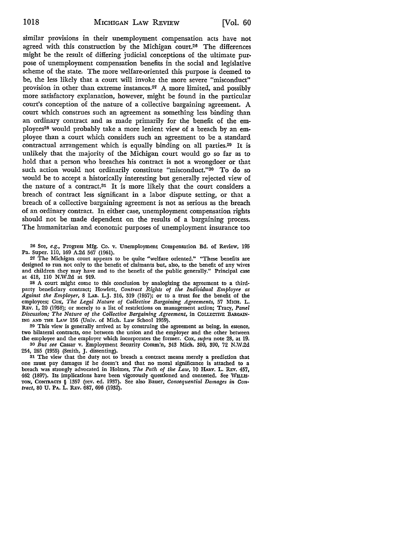similar provisions in their unemployment compensation acts have not agreed with this construction by the Michigan court.26 The differences might be the result of differing judicial conceptions of the ultimate purpose of unemployment compensation benefits in the social and legislative scheme of the state. The more welfare-oriented this purpose is deemed to be, the less likely that a court will invoke the more severe "misconduct" provision in other than extreme instances.27 A more limited, and possibly more satisfactory explanation, however, might be found in the particular court's conception of the nature of a collective bargaining agreement. A court which construes such an agreement as something less binding than an ordinary contract and as made primarily for the benefit of the employees<sup>28</sup> would probably take a more lenient view of a breach by an employee than a court which considers such an agreement to be a standard contractual arrangement which is equally binding on all parties.20 It is unlikely that the majority of the Michigan court would go so far as to hold that a person who breaches his contract is not a wrongdoer or that such action would not ordinarily constitute "misconduct."30 To do so would be to accept a historically interesting but generally rejected view of the nature of a contract.31 It is more likely that the court considers a breach of contract less significant in a labor dispute setting, or that a breach of a collective bargaining agreement is not as serious as the breach of an ordinary contract. In either case, unemployment compensation rights should not be made dependent on the results of a bargaining process. The humanitarian and economic purposes of unemployment insurance too

26 See, *e.g.,* Progress Mfg. Co. v. Unemployment Compensation Bd. of Review, 195 Pa. Super. 110, 169 A.2d 567 (1961).

27 The Michigan court appears to be quite "welfare oriented." "These benefits are designed to run not only to the benefit of claimants but, also, to the benefit of any wives and children they may have and to the benefit of the public generally." Principal case at 418, 110 N.W.2d at 919.

28 A court might come to this conclusion by analogizing the agreement to a thirdparty beneficiary contract; Howlett, *Contract Rights of the Individual Employee as Against the Employer,* 8 LAB. L.J. 316, 319 (1957); or to a trust for the benefit of the employees; Cox, *The Legal Nature of Collective Bargaining Agreements,* 57 MICH. L. REv. 1, 20 (1958); or merely to a list of restrictions on management action; Tracy, *Panel Discussion; The Nature of the Collective Bargaining Agreement,* in COLLECTIVE BARGAIN· ING AND THE LAW 156 (Univ. of Mich. Law School 1959).

29 This view is generally arrived at by construing the agreement as being, in essence, two bilateral contracts, one between the union and the employer and the other between the employee and the employer which incorporates the former. Cox, *supra* note 28, at 19. 30 *But see* Cassar v. Employment Security Comm'n, 343 Mich. 380, 390, 72 N.W.2d

254, 265 (1955) (Smith, J. dissenting).

31 The view that the duty not to breach a contract means merely a prediction that one must pay damages if he doesn't and that no moral significance is attached to a breach was strongly advocated in Holmes, *The Path of the Law,* 10 HARv. L. REv. 457, 462 (1897). Its implications have been vigorously questioned and contested. See WILLIS-TON, CoNTRAcrs § 1357 (rev. ed. 1937). See also Bauer, *Consequential Damages in Contract,* 80 U. PA. L. REV. 687, 696 (1932).